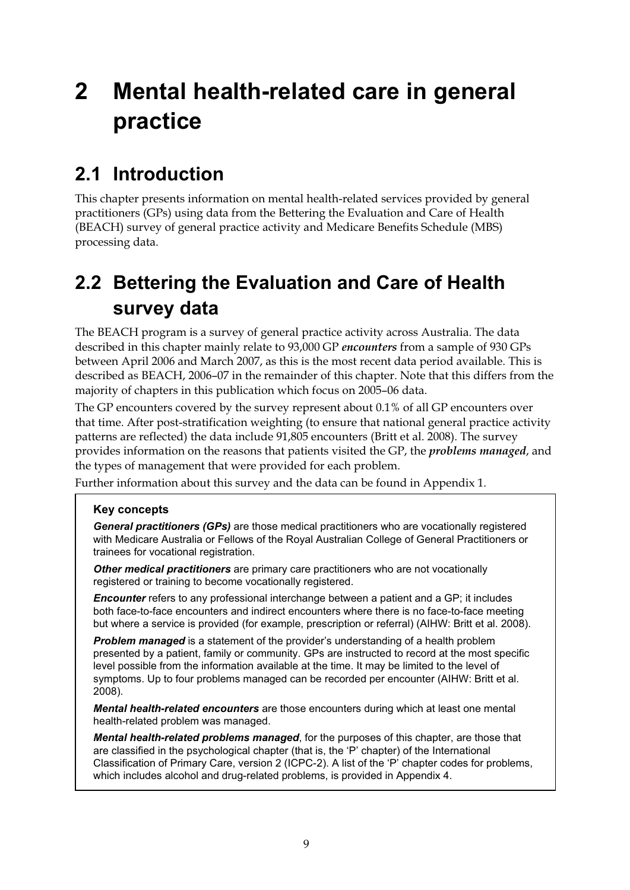# **2 Mental health-related care in general practice**

## **2.1 Introduction**

This chapter presents information on mental health-related services provided by general practitioners (GPs) using data from the Bettering the Evaluation and Care of Health (BEACH) survey of general practice activity and Medicare Benefits Schedule (MBS) processing data.

## **2.2 Bettering the Evaluation and Care of Health survey data**

The BEACH program is a survey of general practice activity across Australia. The data described in this chapter mainly relate to 93,000 GP *encounters* from a sample of 930 GPs between April 2006 and March 2007, as this is the most recent data period available. This is described as BEACH, 2006–07 in the remainder of this chapter. Note that this differs from the majority of chapters in this publication which focus on 2005–06 data.

The GP encounters covered by the survey represent about 0.1% of all GP encounters over that time. After post-stratification weighting (to ensure that national general practice activity patterns are reflected) the data include 91,805 encounters (Britt et al. 2008). The survey provides information on the reasons that patients visited the GP, the *problems managed*, and the types of management that were provided for each problem.

Further information about this survey and the data can be found in Appendix 1.

#### **Key concepts**

*General practitioners (GPs)* are those medical practitioners who are vocationally registered with Medicare Australia or Fellows of the Royal Australian College of General Practitioners or trainees for vocational registration.

*Other medical practitioners* are primary care practitioners who are not vocationally registered or training to become vocationally registered.

*Encounter* refers to any professional interchange between a patient and a GP; it includes both face-to-face encounters and indirect encounters where there is no face-to-face meeting but where a service is provided (for example, prescription or referral) (AIHW: Britt et al. 2008).

*Problem managed* is a statement of the provider's understanding of a health problem presented by a patient, family or community. GPs are instructed to record at the most specific level possible from the information available at the time. It may be limited to the level of symptoms. Up to four problems managed can be recorded per encounter (AIHW: Britt et al. 2008).

*Mental health-related encounters* are those encounters during which at least one mental health-related problem was managed.

*Mental health-related problems managed*, for the purposes of this chapter, are those that are classified in the psychological chapter (that is, the 'P' chapter) of the International Classification of Primary Care, version 2 (ICPC-2). A list of the 'P' chapter codes for problems, which includes alcohol and drug-related problems, is provided in Appendix 4.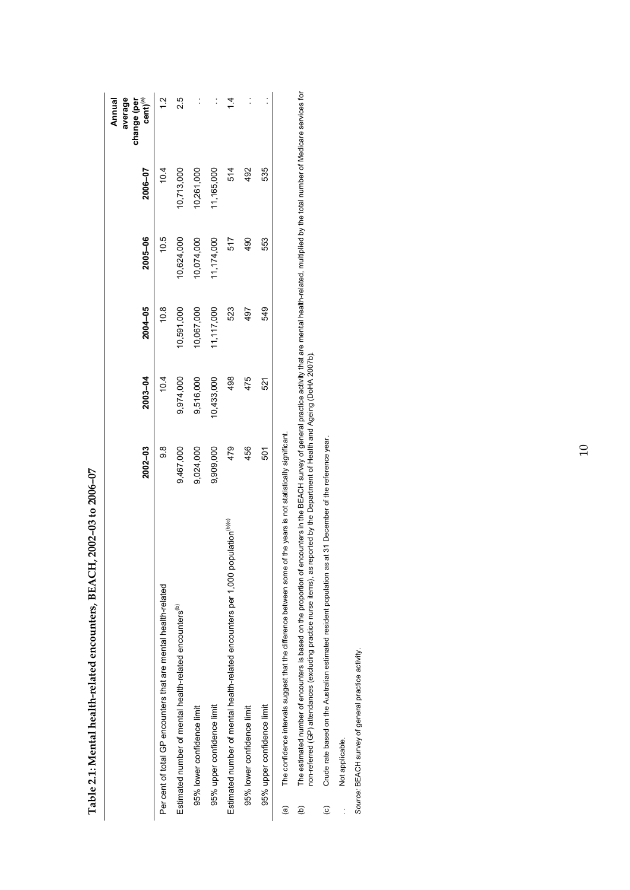|                                                   |            |           |            |             |             | The confidence intervals suggest that the difference between some of the years is not statistically significant.<br>@ |
|---------------------------------------------------|------------|-----------|------------|-------------|-------------|-----------------------------------------------------------------------------------------------------------------------|
|                                                   | 535        | 553       | 549        | 521         | 501         | 95% upper confidence limit                                                                                            |
|                                                   | 492        | 490       | 497        | 475         | 456         | 95% lower confidence limit                                                                                            |
|                                                   | 514        | 517       | 523        | 498         | 479         | Estimated number of mental health-related encounters per 1,000 population <sup>(b)(c)</sup>                           |
| $\ddot{\phantom{0}}$                              | 11,165,000 | 1,174,000 | 11,117,000 | 0,433,000   | 9,909,000   | 95% upper confidence limit                                                                                            |
|                                                   | 10,261,000 | 0,074,000 | 0,067,000  | 9,516,000   | 9,024,000   | 95% lower confidence limit                                                                                            |
| 2.5                                               | 10,713,000 | 0,624,000 | 10,591,000 | 9,974,000   | 9,467,000   | Estimated number of mental health-related encounters <sup>(b)</sup>                                                   |
| $\frac{1}{2}$                                     | 10.4       | 10.5      | 10.8       | 10.4        | ග<br>ග      | Per cent of total GP encounters that are mental health-related                                                        |
| average<br>$cent)^{(a)}$<br>change (per<br>Annual | 2006-07    | 2005-06   | 2004-05    | $2003 - 04$ | $2002 - 03$ |                                                                                                                       |

Table 2.1: Mental health-related encounters, BEACH, 2002-03 to 2006-07 **Table 2.1: Mental health-related encounters, BEACH, 2002–03 to 2006–07** 

The estimated number of encounters is based on the proportion of encounters in the BEACH survey of general practice activity that are mental health-related, multiplied by the total number of Medicare services for<br>non-refer (b) The estimated number of encounters is based on the proportion of encounters in the BEACH survey of general practice activity that are mental health-related, multiplied by the total number of Medicare services for non-referred (GP) attendances (excluding practice nurse items), as reported by the Department of Health and Ageing (DoHA 2007b).  $\widehat{e}$ 

Crude rate based on the Australian estimated resident population as at 31 December of the reference year. (c) Crude rate based on the Australian estimated resident population as at 31 December of the reference year.  $\odot$ 

Not applicable. . . Not applicable.  $\frac{1}{2}$  Source: BEACH survey of general practice activity. *Source:* BEACH survey of general practice activity.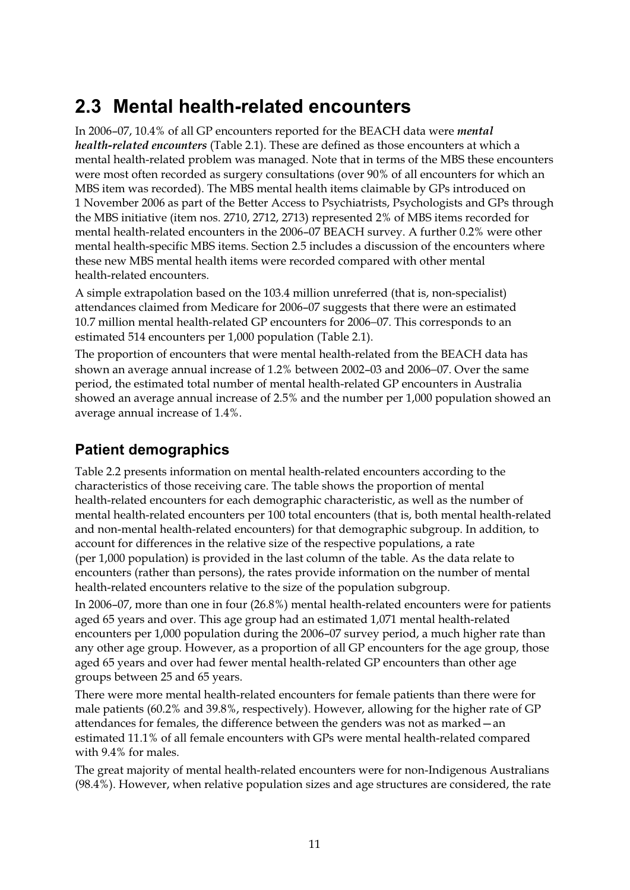## **2.3 Mental health-related encounters**

In 2006–07, 10.4% of all GP encounters reported for the BEACH data were *mental health-related encounters* (Table 2.1). These are defined as those encounters at which a mental health-related problem was managed. Note that in terms of the MBS these encounters were most often recorded as surgery consultations (over 90% of all encounters for which an MBS item was recorded). The MBS mental health items claimable by GPs introduced on 1 November 2006 as part of the Better Access to Psychiatrists, Psychologists and GPs through the MBS initiative (item nos. 2710, 2712, 2713) represented 2% of MBS items recorded for mental health-related encounters in the 2006–07 BEACH survey. A further 0.2% were other mental health-specific MBS items. Section 2.5 includes a discussion of the encounters where these new MBS mental health items were recorded compared with other mental health-related encounters.

A simple extrapolation based on the 103.4 million unreferred (that is, non-specialist) attendances claimed from Medicare for 2006–07 suggests that there were an estimated 10.7 million mental health-related GP encounters for 2006−07. This corresponds to an estimated 514 encounters per 1,000 population (Table 2.1).

The proportion of encounters that were mental health-related from the BEACH data has shown an average annual increase of 1.2% between 2002–03 and 2006−07. Over the same period, the estimated total number of mental health-related GP encounters in Australia showed an average annual increase of 2.5% and the number per 1,000 population showed an average annual increase of 1.4%.

### **Patient demographics**

Table 2.2 presents information on mental health-related encounters according to the characteristics of those receiving care. The table shows the proportion of mental health-related encounters for each demographic characteristic, as well as the number of mental health-related encounters per 100 total encounters (that is, both mental health-related and non-mental health-related encounters) for that demographic subgroup. In addition, to account for differences in the relative size of the respective populations, a rate (per 1,000 population) is provided in the last column of the table. As the data relate to encounters (rather than persons), the rates provide information on the number of mental health-related encounters relative to the size of the population subgroup.

In 2006–07, more than one in four (26.8%) mental health-related encounters were for patients aged 65 years and over. This age group had an estimated 1,071 mental health-related encounters per 1,000 population during the 2006–07 survey period, a much higher rate than any other age group. However, as a proportion of all GP encounters for the age group, those aged 65 years and over had fewer mental health-related GP encounters than other age groups between 25 and 65 years.

There were more mental health-related encounters for female patients than there were for male patients (60.2% and 39.8%, respectively). However, allowing for the higher rate of GP attendances for females, the difference between the genders was not as marked—an estimated 11.1% of all female encounters with GPs were mental health-related compared with 9.4% for males.

The great majority of mental health-related encounters were for non-Indigenous Australians (98.4%). However, when relative population sizes and age structures are considered, the rate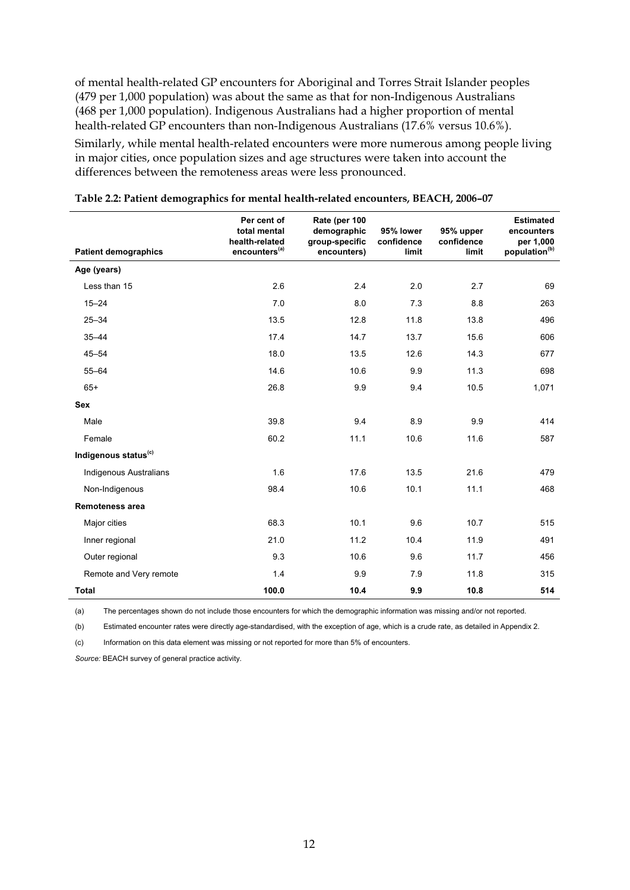of mental health-related GP encounters for Aboriginal and Torres Strait Islander peoples (479 per 1,000 population) was about the same as that for non-Indigenous Australians (468 per 1,000 population). Indigenous Australians had a higher proportion of mental health-related GP encounters than non-Indigenous Australians (17.6% versus 10.6%).

Similarly, while mental health-related encounters were more numerous among people living in major cities, once population sizes and age structures were taken into account the differences between the remoteness areas were less pronounced.

|                                  | Per cent of<br>total mental<br>health-related | Rate (per 100<br>demographic<br>group-specific | 95% lower<br>confidence | 95% upper<br>confidence | <b>Estimated</b><br>encounters<br>per 1,000 |
|----------------------------------|-----------------------------------------------|------------------------------------------------|-------------------------|-------------------------|---------------------------------------------|
| <b>Patient demographics</b>      | encounters <sup>(a)</sup>                     | encounters)                                    | limit                   | limit                   | population <sup>(b)</sup>                   |
| Age (years)                      |                                               |                                                |                         |                         |                                             |
| Less than 15                     | 2.6                                           | 2.4                                            | 2.0                     | 2.7                     | 69                                          |
| $15 - 24$                        | 7.0                                           | 8.0                                            | 7.3                     | 8.8                     | 263                                         |
| $25 - 34$                        | 13.5                                          | 12.8                                           | 11.8                    | 13.8                    | 496                                         |
| $35 - 44$                        | 17.4                                          | 14.7                                           | 13.7                    | 15.6                    | 606                                         |
| $45 - 54$                        | 18.0                                          | 13.5                                           | 12.6                    | 14.3                    | 677                                         |
| $55 - 64$                        | 14.6                                          | 10.6                                           | 9.9                     | 11.3                    | 698                                         |
| $65+$                            | 26.8                                          | 9.9                                            | 9.4                     | 10.5                    | 1,071                                       |
| <b>Sex</b>                       |                                               |                                                |                         |                         |                                             |
| Male                             | 39.8                                          | 9.4                                            | 8.9                     | 9.9                     | 414                                         |
| Female                           | 60.2                                          | 11.1                                           | 10.6                    | 11.6                    | 587                                         |
| Indigenous status <sup>(c)</sup> |                                               |                                                |                         |                         |                                             |
| <b>Indigenous Australians</b>    | 1.6                                           | 17.6                                           | 13.5                    | 21.6                    | 479                                         |
| Non-Indigenous                   | 98.4                                          | 10.6                                           | 10.1                    | 11.1                    | 468                                         |
| <b>Remoteness area</b>           |                                               |                                                |                         |                         |                                             |
| Major cities                     | 68.3                                          | 10.1                                           | 9.6                     | 10.7                    | 515                                         |
| Inner regional                   | 21.0                                          | 11.2                                           | 10.4                    | 11.9                    | 491                                         |
| Outer regional                   | 9.3                                           | 10.6                                           | 9.6                     | 11.7                    | 456                                         |
| Remote and Very remote           | 1.4                                           | 9.9                                            | 7.9                     | 11.8                    | 315                                         |
| <b>Total</b>                     | 100.0                                         | 10.4                                           | 9.9                     | 10.8                    | 514                                         |

| Table 2.2: Patient demographics for mental health-related encounters, BEACH, 2006–07 |  |  |  |
|--------------------------------------------------------------------------------------|--|--|--|
|                                                                                      |  |  |  |

(a) The percentages shown do not include those encounters for which the demographic information was missing and/or not reported.

(b) Estimated encounter rates were directly age-standardised, with the exception of age, which is a crude rate, as detailed in Appendix 2.

(c) Information on this data element was missing or not reported for more than 5% of encounters.

*Source:* BEACH survey of general practice activity.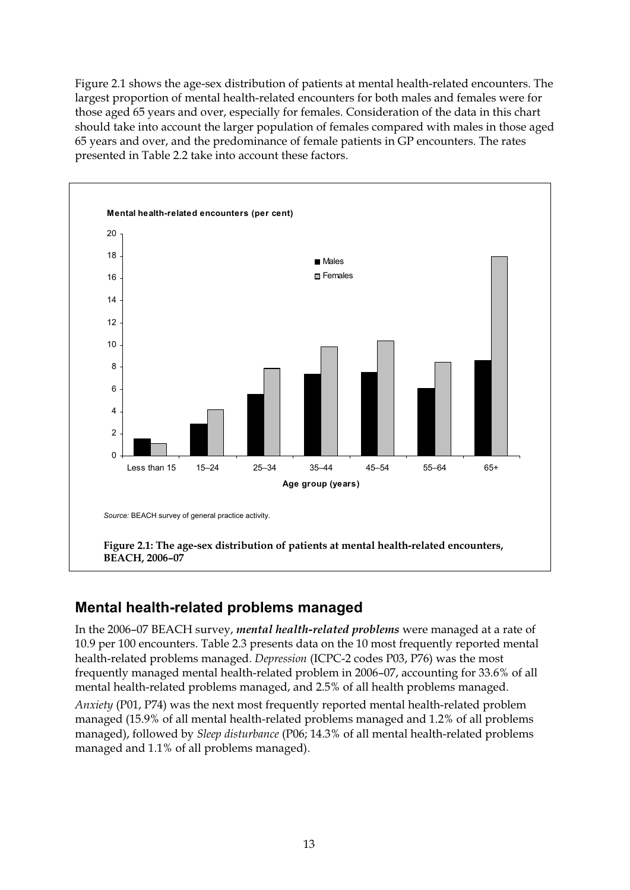Figure 2.1 shows the age-sex distribution of patients at mental health-related encounters. The largest proportion of mental health-related encounters for both males and females were for those aged 65 years and over, especially for females. Consideration of the data in this chart should take into account the larger population of females compared with males in those aged 65 years and over, and the predominance of female patients in GP encounters. The rates presented in Table 2.2 take into account these factors.



### **Mental health-related problems managed**

In the 2006–07 BEACH survey, *mental health-related problems* were managed at a rate of 10.9 per 100 encounters. Table 2.3 presents data on the 10 most frequently reported mental health-related problems managed. *Depression* (ICPC-2 codes P03, P76) was the most frequently managed mental health-related problem in 2006–07, accounting for 33.6% of all mental health-related problems managed, and 2.5% of all health problems managed.

*Anxiety* (P01, P74) was the next most frequently reported mental health-related problem managed (15.9% of all mental health-related problems managed and 1.2% of all problems managed), followed by *Sleep disturbance* (P06; 14.3% of all mental health-related problems managed and 1.1% of all problems managed).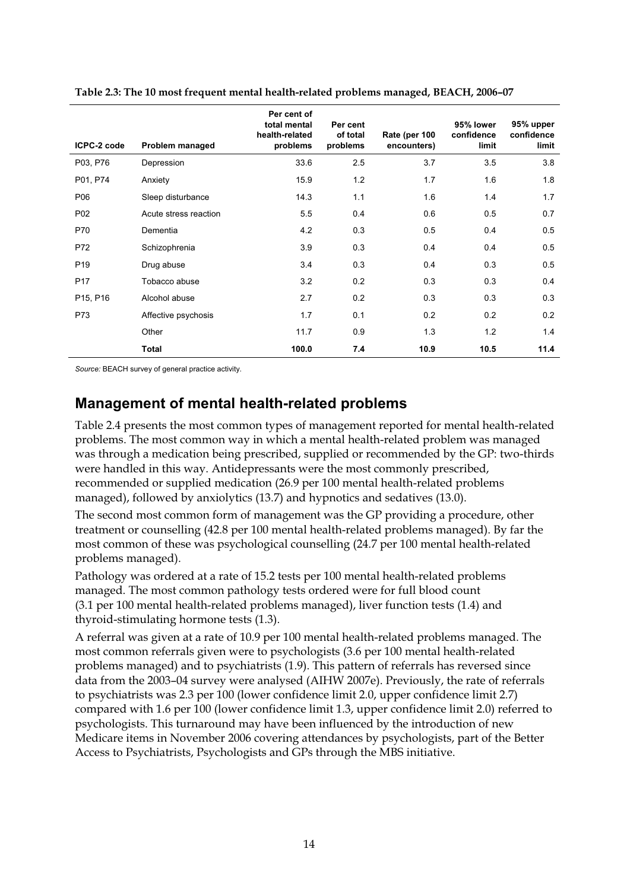| ICPC-2 code     | Problem managed       | Per cent of<br>total mental<br>health-related<br>problems | Per cent<br>of total<br>problems | Rate (per 100<br>encounters) | 95% lower<br>confidence<br>limit | 95% upper<br>confidence<br>limit |
|-----------------|-----------------------|-----------------------------------------------------------|----------------------------------|------------------------------|----------------------------------|----------------------------------|
| P03, P76        | Depression            | 33.6                                                      | 2.5                              | 3.7                          | 3.5                              | 3.8                              |
| P01, P74        | Anxiety               | 15.9                                                      | 1.2                              | 1.7                          | 1.6                              | 1.8                              |
| P06             | Sleep disturbance     | 14.3                                                      | 1.1                              | 1.6                          | 1.4                              | 1.7                              |
| P02             | Acute stress reaction | 5.5                                                       | 0.4                              | 0.6                          | 0.5                              | 0.7                              |
| P70             | Dementia              | 4.2                                                       | 0.3                              | 0.5                          | 0.4                              | 0.5                              |
| P72             | Schizophrenia         | 3.9                                                       | 0.3                              | 0.4                          | 0.4                              | 0.5                              |
| P <sub>19</sub> | Drug abuse            | 3.4                                                       | 0.3                              | 0.4                          | 0.3                              | 0.5                              |
| P <sub>17</sub> | Tobacco abuse         | 3.2                                                       | 0.2                              | 0.3                          | 0.3                              | 0.4                              |
| P15, P16        | Alcohol abuse         | 2.7                                                       | 0.2                              | 0.3                          | 0.3                              | 0.3                              |
| P73             | Affective psychosis   | 1.7                                                       | 0.1                              | 0.2                          | 0.2                              | 0.2                              |
|                 | Other                 | 11.7                                                      | 0.9                              | 1.3                          | 1.2                              | 1.4                              |
|                 | Total                 | 100.0                                                     | 7.4                              | 10.9                         | 10.5                             | 11.4                             |

**Table 2.3: The 10 most frequent mental health-related problems managed, BEACH, 2006–07** 

*Source:* BEACH survey of general practice activity.

### **Management of mental health-related problems**

Table 2.4 presents the most common types of management reported for mental health-related problems. The most common way in which a mental health-related problem was managed was through a medication being prescribed, supplied or recommended by the GP: two-thirds were handled in this way. Antidepressants were the most commonly prescribed, recommended or supplied medication (26.9 per 100 mental health-related problems managed), followed by anxiolytics (13.7) and hypnotics and sedatives (13.0).

The second most common form of management was the GP providing a procedure, other treatment or counselling (42.8 per 100 mental health-related problems managed). By far the most common of these was psychological counselling (24.7 per 100 mental health-related problems managed).

Pathology was ordered at a rate of 15.2 tests per 100 mental health-related problems managed. The most common pathology tests ordered were for full blood count (3.1 per 100 mental health-related problems managed), liver function tests (1.4) and thyroid-stimulating hormone tests (1.3).

A referral was given at a rate of 10.9 per 100 mental health-related problems managed. The most common referrals given were to psychologists (3.6 per 100 mental health-related problems managed) and to psychiatrists (1.9). This pattern of referrals has reversed since data from the 2003–04 survey were analysed (AIHW 2007e). Previously, the rate of referrals to psychiatrists was 2.3 per 100 (lower confidence limit 2.0, upper confidence limit 2.7) compared with 1.6 per 100 (lower confidence limit 1.3, upper confidence limit 2.0) referred to psychologists. This turnaround may have been influenced by the introduction of new Medicare items in November 2006 covering attendances by psychologists, part of the Better Access to Psychiatrists, Psychologists and GPs through the MBS initiative.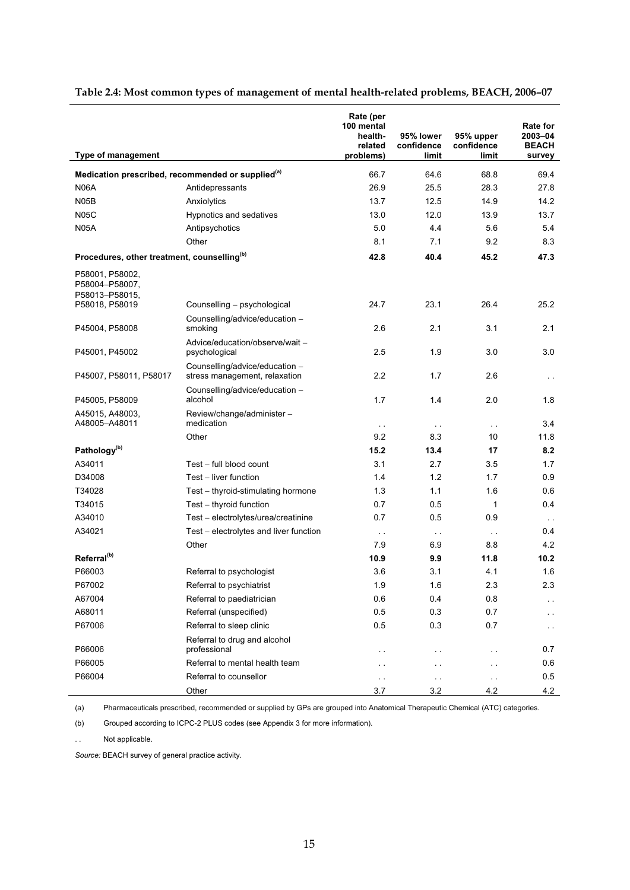| Type of management                                                    |                                                                 | Rate (per<br>100 mental<br>health-<br>related<br>problems) | 95% lower<br>confidence<br>limit | 95% upper<br>confidence<br>limit | <b>Rate for</b><br>2003-04<br><b>BEACH</b><br>survey |
|-----------------------------------------------------------------------|-----------------------------------------------------------------|------------------------------------------------------------|----------------------------------|----------------------------------|------------------------------------------------------|
| Medication prescribed, recommended or supplied <sup>(a)</sup>         |                                                                 | 66.7                                                       | 64.6                             | 68.8                             | 69.4                                                 |
| <b>N06A</b>                                                           | Antidepressants                                                 | 26.9                                                       | 25.5                             | 28.3                             | 27.8                                                 |
| N <sub>05</sub> B                                                     | Anxiolytics                                                     | 13.7                                                       | 12.5                             | 14.9                             | 14.2                                                 |
| <b>N05C</b>                                                           | Hypnotics and sedatives                                         | 13.0                                                       | 12.0                             | 13.9                             | 13.7                                                 |
| <b>N05A</b>                                                           | Antipsychotics                                                  | 5.0                                                        | 4.4                              | 5.6                              | 5.4                                                  |
|                                                                       | Other                                                           | 8.1                                                        | 7.1                              | 9.2                              | 8.3                                                  |
| Procedures, other treatment, counselling <sup>(b)</sup>               |                                                                 | 42.8                                                       | 40.4                             | 45.2                             | 47.3                                                 |
| P58001, P58002,<br>P58004-P58007,<br>P58013-P58015.<br>P58018, P58019 |                                                                 | 24.7                                                       | 23.1                             | 26.4                             | 25.2                                                 |
|                                                                       | Counselling - psychological<br>Counselling/advice/education -   |                                                            |                                  |                                  |                                                      |
| P45004, P58008                                                        | smoking                                                         | 2.6                                                        | 2.1                              | 3.1                              | 2.1                                                  |
| P45001, P45002                                                        | Advice/education/observe/wait -<br>psychological                | 2.5                                                        | 1.9                              | 3.0                              | 3.0                                                  |
| P45007, P58011, P58017                                                | Counselling/advice/education -<br>stress management, relaxation | 2.2                                                        | 1.7                              | 2.6                              | $\sim$ $\sim$                                        |
| P45005, P58009                                                        | Counselling/advice/education -<br>alcohol                       | 1.7                                                        | 1.4                              | 2.0                              | 1.8                                                  |
| A45015, A48003,<br>A48005-A48011                                      | Review/change/administer -<br>medication                        | $\sim$ $\sim$                                              | $\sim$ $\sim$                    | $\sim$ $\sim$                    | 3.4                                                  |
|                                                                       | Other                                                           | 9.2                                                        | 8.3                              | 10                               | 11.8                                                 |
| Pathology <sup>(b)</sup>                                              |                                                                 | 15.2                                                       | 13.4                             | 17                               | 8.2                                                  |
| A34011                                                                | Test - full blood count                                         | 3.1                                                        | 2.7                              | 3.5                              | 1.7                                                  |
| D34008                                                                | Test - liver function                                           | 1.4                                                        | 1.2                              | 1.7                              | 0.9                                                  |
| T34028                                                                | Test - thyroid-stimulating hormone                              | 1.3                                                        | 1.1                              | 1.6                              | 0.6                                                  |
| T34015                                                                | Test - thyroid function                                         | 0.7                                                        | 0.5                              | $\mathbf{1}$                     | 0.4                                                  |
| A34010                                                                | Test - electrolytes/urea/creatinine                             | 0.7                                                        | 0.5                              | 0.9                              | $\sim$ $\sim$                                        |
| A34021                                                                | Test - electrolytes and liver function                          | $\sim$ $\sim$                                              | $\sim$ $\sim$                    | $\sim$ $\sim$                    | 0.4                                                  |
|                                                                       | Other                                                           | 7.9                                                        | 6.9                              | 8.8                              | 4.2                                                  |
| Referral <sup>(b)</sup>                                               |                                                                 | 10.9                                                       | 9.9                              | 11.8                             | 10.2 <sub>1</sub>                                    |
| P66003                                                                | Referral to psychologist                                        | 3.6                                                        | 3.1                              | 4.1                              | 1.6                                                  |
| P67002                                                                | Referral to psychiatrist                                        | 1.9                                                        | 1.6                              | 2.3                              | 2.3                                                  |
| A67004                                                                | Referral to paediatrician                                       | 0.6                                                        | 0.4                              | 0.8                              | . .                                                  |
| A68011                                                                | Referral (unspecified)                                          | 0.5                                                        | 0.3                              | 0.7                              | . .                                                  |
| P67006                                                                | Referral to sleep clinic                                        | 0.5                                                        | 0.3                              | 0.7                              | $\ddot{\phantom{1}}$                                 |
| P66006                                                                | Referral to drug and alcohol<br>professional                    | $\ddot{\phantom{0}}$                                       | $\ddot{\phantom{0}}$             | $\sim$ $\sim$                    | 0.7                                                  |
| P66005                                                                | Referral to mental health team                                  | . .                                                        | $\ddot{\phantom{1}}$             | $\sim$                           | 0.6                                                  |
| P66004                                                                | Referral to counsellor                                          | . .                                                        | $\ddot{\phantom{0}}$             | $\sim$ $\sim$                    | 0.5                                                  |
|                                                                       | Other                                                           | 3.7                                                        | 3.2                              | 4.2                              | 4.2                                                  |

#### **Table 2.4: Most common types of management of mental health-related problems, BEACH, 2006–07**

(a) Pharmaceuticals prescribed, recommended or supplied by GPs are grouped into Anatomical Therapeutic Chemical (ATC) categories.

(b) Grouped according to ICPC-2 PLUS codes (see Appendix 3 for more information).

. . Not applicable.

*Source:* BEACH survey of general practice activity.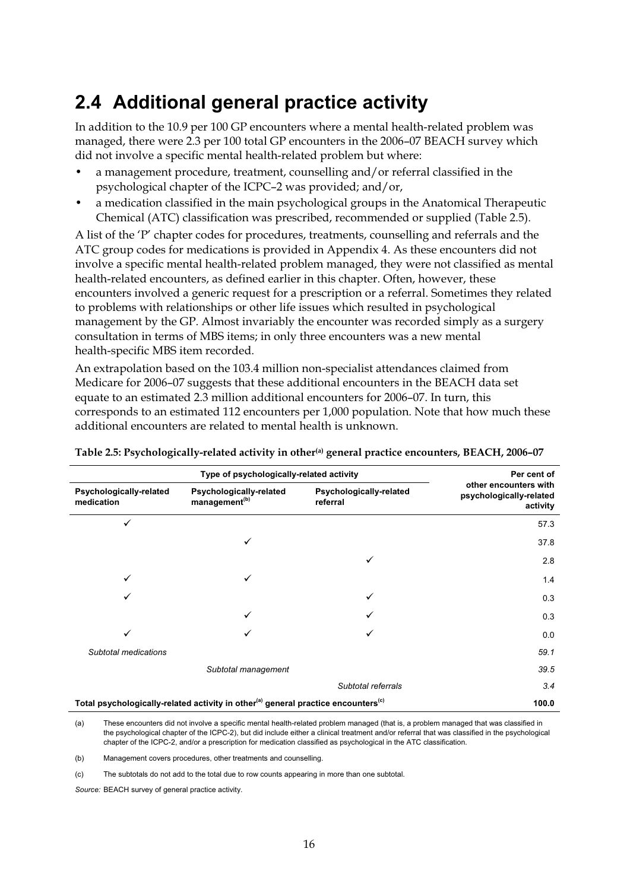## **2.4 Additional general practice activity**

In addition to the 10.9 per 100 GP encounters where a mental health-related problem was managed, there were 2.3 per 100 total GP encounters in the 2006–07 BEACH survey which did not involve a specific mental health-related problem but where:

- a management procedure, treatment, counselling and/or referral classified in the psychological chapter of the ICPC–2 was provided; and/or,
- a medication classified in the main psychological groups in the Anatomical Therapeutic Chemical (ATC) classification was prescribed, recommended or supplied (Table 2.5).

A list of the 'P' chapter codes for procedures, treatments, counselling and referrals and the ATC group codes for medications is provided in Appendix 4. As these encounters did not involve a specific mental health-related problem managed, they were not classified as mental health-related encounters, as defined earlier in this chapter. Often, however, these encounters involved a generic request for a prescription or a referral. Sometimes they related to problems with relationships or other life issues which resulted in psychological management by the GP. Almost invariably the encounter was recorded simply as a surgery consultation in terms of MBS items; in only three encounters was a new mental health-specific MBS item recorded.

An extrapolation based on the 103.4 million non-specialist attendances claimed from Medicare for 2006–07 suggests that these additional encounters in the BEACH data set equate to an estimated 2.3 million additional encounters for 2006–07. In turn, this corresponds to an estimated 112 encounters per 1,000 population. Note that how much these additional encounters are related to mental health is unknown.

|                                       | Type of psychologically-related activity                                                                  |                                     | Per cent of                                                  |
|---------------------------------------|-----------------------------------------------------------------------------------------------------------|-------------------------------------|--------------------------------------------------------------|
| Psychologically-related<br>medication | Psychologically-related<br>management <sup>(b)</sup>                                                      | Psychologically-related<br>referral | other encounters with<br>psychologically-related<br>activity |
| ✓                                     |                                                                                                           |                                     | 57.3                                                         |
|                                       |                                                                                                           |                                     | 37.8                                                         |
|                                       |                                                                                                           |                                     | 2.8                                                          |
| ✓                                     | ✓                                                                                                         |                                     | 1.4                                                          |
|                                       |                                                                                                           |                                     | 0.3                                                          |
|                                       |                                                                                                           |                                     | 0.3                                                          |
| ✓                                     |                                                                                                           |                                     | 0.0                                                          |
| Subtotal medications                  |                                                                                                           |                                     | 59.1                                                         |
|                                       | Subtotal management                                                                                       |                                     | 39.5                                                         |
|                                       |                                                                                                           | Subtotal referrals                  | 3.4                                                          |
|                                       | Total psychologically-related activity in other <sup>(a)</sup> general practice encounters <sup>(c)</sup> |                                     | 100.0                                                        |

**Table 2.5: Psychologically-related activity in other(a) general practice encounters, BEACH, 2006–07** 

(a) These encounters did not involve a specific mental health-related problem managed (that is, a problem managed that was classified in the psychological chapter of the ICPC-2), but did include either a clinical treatment and/or referral that was classified in the psychological chapter of the ICPC-2, and/or a prescription for medication classified as psychological in the ATC classification.

(b) Management covers procedures, other treatments and counselling.

(c) The subtotals do not add to the total due to row counts appearing in more than one subtotal.

*Source:* BEACH survey of general practice activity.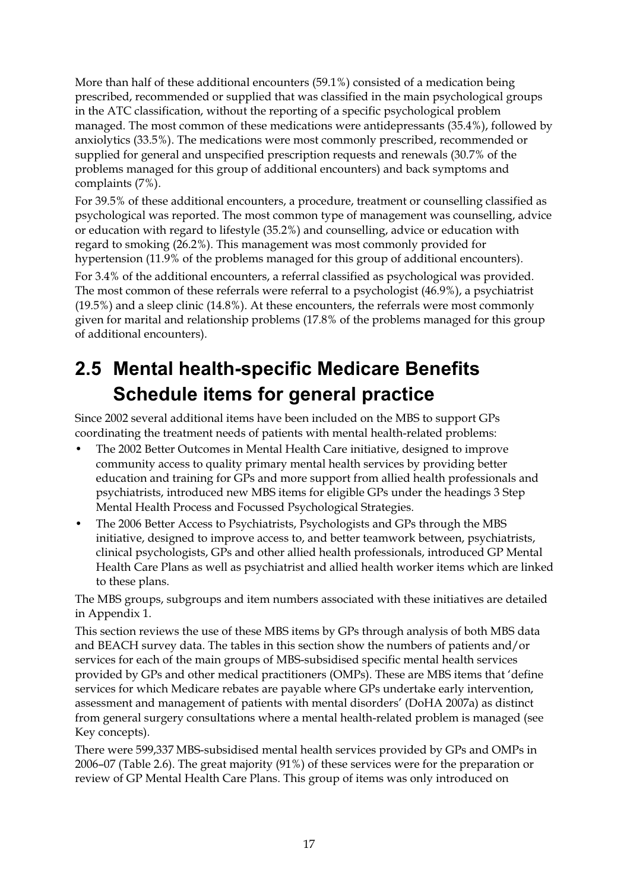More than half of these additional encounters (59.1%) consisted of a medication being prescribed, recommended or supplied that was classified in the main psychological groups in the ATC classification, without the reporting of a specific psychological problem managed. The most common of these medications were antidepressants (35.4%), followed by anxiolytics (33.5%). The medications were most commonly prescribed, recommended or supplied for general and unspecified prescription requests and renewals (30.7% of the problems managed for this group of additional encounters) and back symptoms and complaints (7%).

For 39.5% of these additional encounters, a procedure, treatment or counselling classified as psychological was reported. The most common type of management was counselling, advice or education with regard to lifestyle (35.2%) and counselling, advice or education with regard to smoking (26.2%). This management was most commonly provided for hypertension (11.9% of the problems managed for this group of additional encounters).

For 3.4% of the additional encounters, a referral classified as psychological was provided. The most common of these referrals were referral to a psychologist (46.9%), a psychiatrist (19.5%) and a sleep clinic (14.8%). At these encounters, the referrals were most commonly given for marital and relationship problems (17.8% of the problems managed for this group of additional encounters).

## **2.5 Mental health-specific Medicare Benefits Schedule items for general practice**

Since 2002 several additional items have been included on the MBS to support GPs coordinating the treatment needs of patients with mental health-related problems:

- The 2002 Better Outcomes in Mental Health Care initiative, designed to improve community access to quality primary mental health services by providing better education and training for GPs and more support from allied health professionals and psychiatrists, introduced new MBS items for eligible GPs under the headings 3 Step Mental Health Process and Focussed Psychological Strategies.
- The 2006 Better Access to Psychiatrists, Psychologists and GPs through the MBS initiative, designed to improve access to, and better teamwork between, psychiatrists, clinical psychologists, GPs and other allied health professionals, introduced GP Mental Health Care Plans as well as psychiatrist and allied health worker items which are linked to these plans.

The MBS groups, subgroups and item numbers associated with these initiatives are detailed in Appendix 1.

This section reviews the use of these MBS items by GPs through analysis of both MBS data and BEACH survey data. The tables in this section show the numbers of patients and/or services for each of the main groups of MBS-subsidised specific mental health services provided by GPs and other medical practitioners (OMPs). These are MBS items that 'define services for which Medicare rebates are payable where GPs undertake early intervention, assessment and management of patients with mental disorders' (DoHA 2007a) as distinct from general surgery consultations where a mental health-related problem is managed (see Key concepts).

There were 599,337 MBS-subsidised mental health services provided by GPs and OMPs in 2006–07 (Table 2.6). The great majority (91%) of these services were for the preparation or review of GP Mental Health Care Plans. This group of items was only introduced on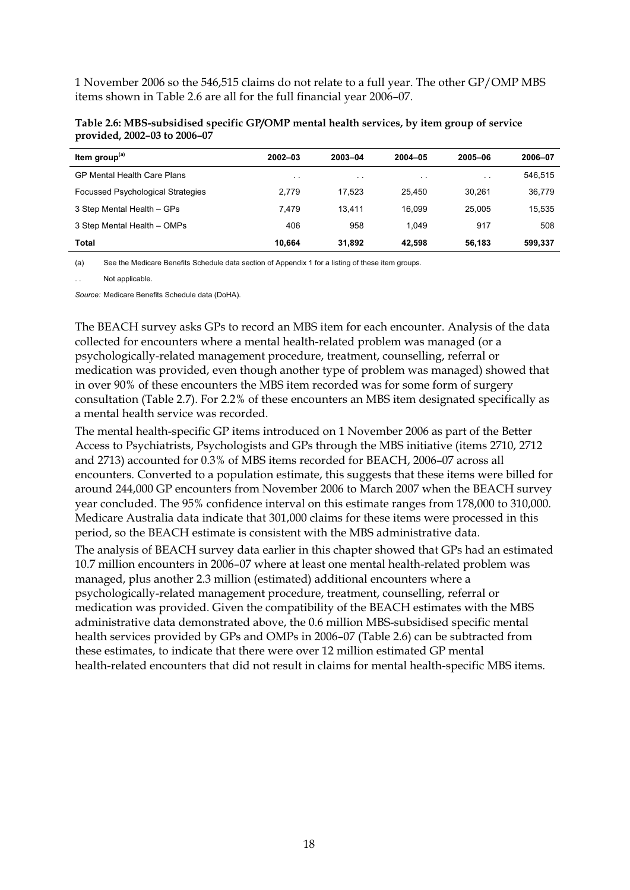1 November 2006 so the 546,515 claims do not relate to a full year. The other GP/OMP MBS items shown in Table 2.6 are all for the full financial year 2006–07.

| Item group <sup>(a)</sup>                | $2002 - 03$   | 2003-04       | $2004 - 05$   | 2005-06   | 2006-07 |
|------------------------------------------|---------------|---------------|---------------|-----------|---------|
| <b>GP Mental Health Care Plans</b>       | $\sim$ $\sim$ | $\sim$ $\sim$ | $\sim$ $\sim$ | $\cdot$ . | 546,515 |
| <b>Focussed Psychological Strategies</b> | 2.779         | 17.523        | 25.450        | 30.261    | 36,779  |
| 3 Step Mental Health - GPs               | 7.479         | 13.411        | 16.099        | 25.005    | 15,535  |
| 3 Step Mental Health - OMPs              | 406           | 958           | 1.049         | 917       | 508     |
| Total                                    | 10.664        | 31.892        | 42.598        | 56.183    | 599,337 |

**Table 2.6: MBS-subsidised specific GP/OMP mental health services, by item group of service provided, 2002–03 to 2006–07** 

(a) See the Medicare Benefits Schedule data section of Appendix 1 for a listing of these item groups.

Not applicable.

*Source:* Medicare Benefits Schedule data (DoHA).

The BEACH survey asks GPs to record an MBS item for each encounter. Analysis of the data collected for encounters where a mental health-related problem was managed (or a psychologically-related management procedure, treatment, counselling, referral or medication was provided, even though another type of problem was managed) showed that in over 90% of these encounters the MBS item recorded was for some form of surgery consultation (Table 2.7). For 2.2% of these encounters an MBS item designated specifically as a mental health service was recorded.

The mental health-specific GP items introduced on 1 November 2006 as part of the Better Access to Psychiatrists, Psychologists and GPs through the MBS initiative (items 2710, 2712 and 2713) accounted for 0.3% of MBS items recorded for BEACH, 2006–07 across all encounters. Converted to a population estimate, this suggests that these items were billed for around 244,000 GP encounters from November 2006 to March 2007 when the BEACH survey year concluded. The 95% confidence interval on this estimate ranges from 178,000 to 310,000. Medicare Australia data indicate that 301,000 claims for these items were processed in this period, so the BEACH estimate is consistent with the MBS administrative data.

The analysis of BEACH survey data earlier in this chapter showed that GPs had an estimated 10.7 million encounters in 2006–07 where at least one mental health-related problem was managed, plus another 2.3 million (estimated) additional encounters where a psychologically-related management procedure, treatment, counselling, referral or medication was provided. Given the compatibility of the BEACH estimates with the MBS administrative data demonstrated above, the 0.6 million MBS-subsidised specific mental health services provided by GPs and OMPs in 2006–07 (Table 2.6) can be subtracted from these estimates, to indicate that there were over 12 million estimated GP mental health-related encounters that did not result in claims for mental health-specific MBS items.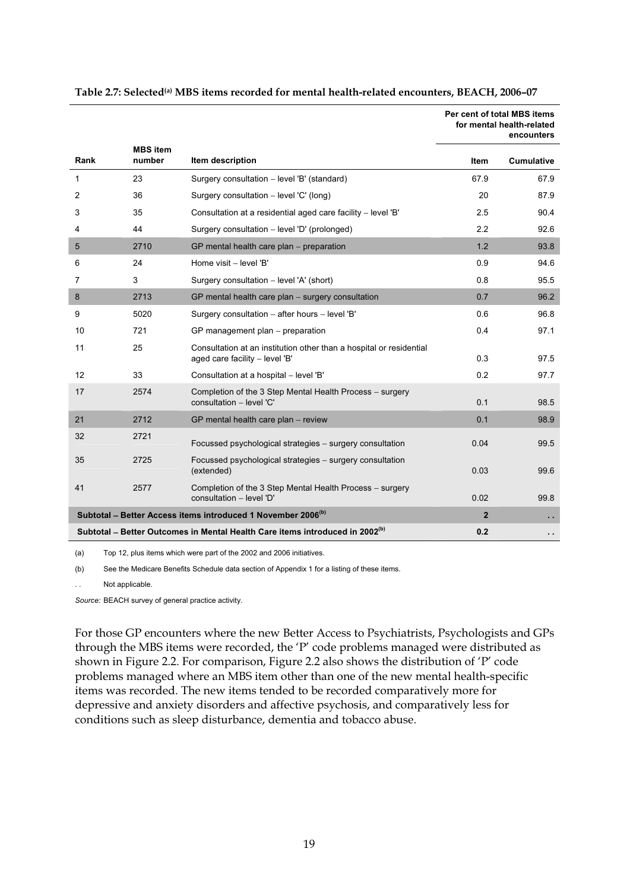|      |                           |                                                                                                       |                | Per cent of total MBS items<br>for mental health-related<br>encounters |
|------|---------------------------|-------------------------------------------------------------------------------------------------------|----------------|------------------------------------------------------------------------|
| Rank | <b>MBS</b> item<br>number | Item description                                                                                      | Item           | <b>Cumulative</b>                                                      |
| 1    | 23                        | Surgery consultation - level 'B' (standard)                                                           | 67.9           | 67.9                                                                   |
| 2    | 36                        | Surgery consultation - level 'C' (long)                                                               | 20             | 87.9                                                                   |
| 3    | 35                        | Consultation at a residential aged care facility - level 'B'                                          | 2.5            | 90.4                                                                   |
| 4    | 44                        | Surgery consultation - level 'D' (prolonged)                                                          | 2.2            | 92.6                                                                   |
| 5    | 2710                      | GP mental health care plan - preparation                                                              | 1.2            | 93.8                                                                   |
| 6    | 24                        | Home visit - level 'B'                                                                                | 0.9            | 94.6                                                                   |
| 7    | 3                         | Surgery consultation - level 'A' (short)                                                              | 0.8            | 95.5                                                                   |
| 8    | 2713                      | GP mental health care plan - surgery consultation                                                     | 0.7            | 96.2                                                                   |
| 9    | 5020                      | Surgery consultation - after hours - level 'B'                                                        | 0.6            | 96.8                                                                   |
| 10   | 721                       | GP management plan - preparation                                                                      | 0.4            | 97.1                                                                   |
| 11   | 25                        | Consultation at an institution other than a hospital or residential<br>aged care facility - level 'B' | 0.3            | 97.5                                                                   |
| 12   | 33                        | Consultation at a hospital - level 'B'                                                                | 0.2            | 97.7                                                                   |
| 17   | 2574                      | Completion of the 3 Step Mental Health Process - surgery<br>consultation - level 'C'                  | 0.1            | 98.5                                                                   |
| 21   | 2712                      | GP mental health care plan - review                                                                   | 0.1            | 98.9                                                                   |
| 32   | 2721                      | Focussed psychological strategies - surgery consultation                                              | 0.04           | 99.5                                                                   |
| 35   | 2725                      | Focussed psychological strategies - surgery consultation<br>(extended)                                | 0.03           | 99.6                                                                   |
| 41   | 2577                      | Completion of the 3 Step Mental Health Process – surgery<br>consultation - level 'D'                  | 0.02           | 99.8                                                                   |
|      |                           | Subtotal - Better Access items introduced 1 November 2006 <sup>(b)</sup>                              | $\overline{2}$ | $\sim$                                                                 |
|      |                           | Subtotal – Better Outcomes in Mental Health Care items introduced in 2002 <sup>(b)</sup>              | 0.2            | $\sim$                                                                 |

#### **Table 2.7: Selected(a) MBS items recorded for mental health-related encounters, BEACH, 2006–07**

(a) Top 12, plus items which were part of the 2002 and 2006 initiatives.

(b) See the Medicare Benefits Schedule data section of Appendix 1 for a listing of these items.

. . Not applicable.

*Source:* BEACH survey of general practice activity.

For those GP encounters where the new Better Access to Psychiatrists, Psychologists and GPs through the MBS items were recorded, the 'P' code problems managed were distributed as shown in Figure 2.2. For comparison, Figure 2.2 also shows the distribution of 'P' code problems managed where an MBS item other than one of the new mental health-specific items was recorded. The new items tended to be recorded comparatively more for depressive and anxiety disorders and affective psychosis, and comparatively less for conditions such as sleep disturbance, dementia and tobacco abuse.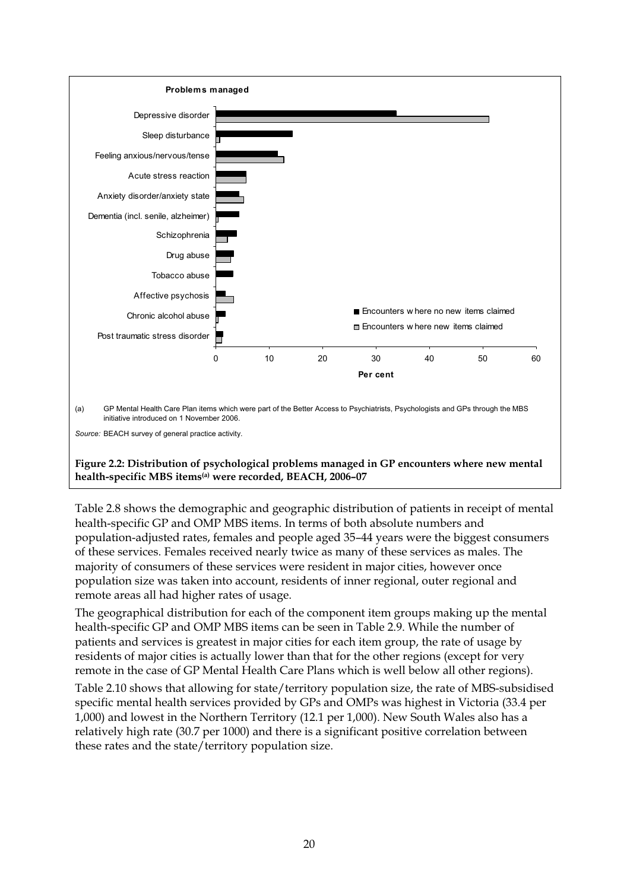

Table 2.8 shows the demographic and geographic distribution of patients in receipt of mental health-specific GP and OMP MBS items. In terms of both absolute numbers and population-adjusted rates, females and people aged 35–44 years were the biggest consumers of these services. Females received nearly twice as many of these services as males. The majority of consumers of these services were resident in major cities, however once population size was taken into account, residents of inner regional, outer regional and remote areas all had higher rates of usage.

The geographical distribution for each of the component item groups making up the mental health-specific GP and OMP MBS items can be seen in Table 2.9. While the number of patients and services is greatest in major cities for each item group, the rate of usage by residents of major cities is actually lower than that for the other regions (except for very remote in the case of GP Mental Health Care Plans which is well below all other regions).

Table 2.10 shows that allowing for state/territory population size, the rate of MBS-subsidised specific mental health services provided by GPs and OMPs was highest in Victoria (33.4 per 1,000) and lowest in the Northern Territory (12.1 per 1,000). New South Wales also has a relatively high rate (30.7 per 1000) and there is a significant positive correlation between these rates and the state/territory population size.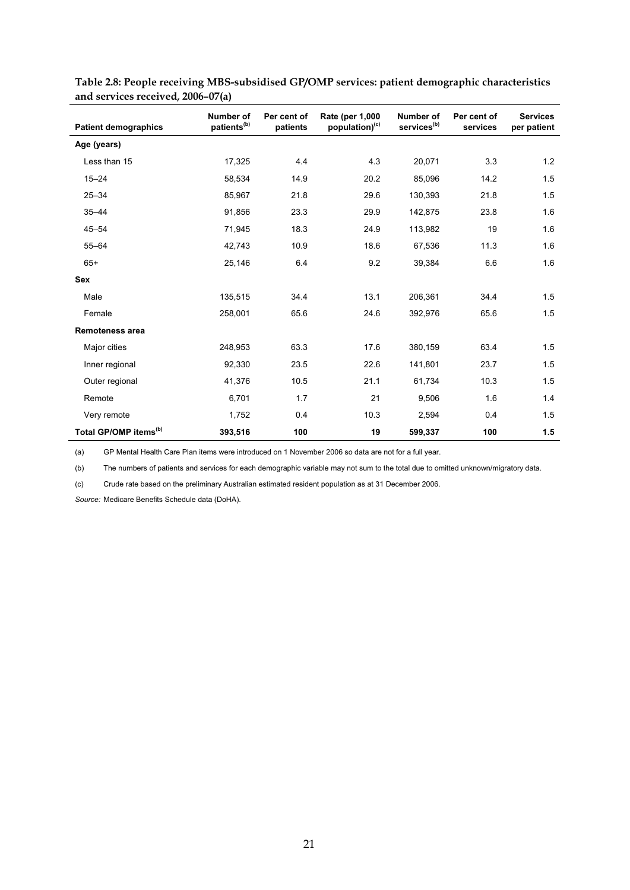| <b>Patient demographics</b>       | Number of<br>patients <sup>(b)</sup> | Per cent of<br>patients | Rate (per 1,000<br>population) <sup>(c)</sup> | Number of<br>services <sup>(b)</sup> | Per cent of<br>services | <b>Services</b><br>per patient |
|-----------------------------------|--------------------------------------|-------------------------|-----------------------------------------------|--------------------------------------|-------------------------|--------------------------------|
| Age (years)                       |                                      |                         |                                               |                                      |                         |                                |
| Less than 15                      | 17,325                               | 4.4                     | 4.3                                           | 20,071                               | 3.3                     | 1.2                            |
| $15 - 24$                         | 58,534                               | 14.9                    | 20.2                                          | 85,096                               | 14.2                    | 1.5                            |
| $25 - 34$                         | 85,967                               | 21.8                    | 29.6                                          | 130,393                              | 21.8                    | 1.5                            |
| $35 - 44$                         | 91,856                               | 23.3                    | 29.9                                          | 142,875                              | 23.8                    | 1.6                            |
| $45 - 54$                         | 71,945                               | 18.3                    | 24.9                                          | 113,982                              | 19                      | 1.6                            |
| $55 - 64$                         | 42,743                               | 10.9                    | 18.6                                          | 67,536                               | 11.3                    | 1.6                            |
| $65+$                             | 25,146                               | 6.4                     | 9.2                                           | 39,384                               | 6.6                     | 1.6                            |
| <b>Sex</b>                        |                                      |                         |                                               |                                      |                         |                                |
| Male                              | 135,515                              | 34.4                    | 13.1                                          | 206,361                              | 34.4                    | 1.5                            |
| Female                            | 258,001                              | 65.6                    | 24.6                                          | 392.976                              | 65.6                    | 1.5                            |
| Remoteness area                   |                                      |                         |                                               |                                      |                         |                                |
| Major cities                      | 248,953                              | 63.3                    | 17.6                                          | 380,159                              | 63.4                    | 1.5                            |
| Inner regional                    | 92,330                               | 23.5                    | 22.6                                          | 141,801                              | 23.7                    | 1.5                            |
| Outer regional                    | 41,376                               | 10.5                    | 21.1                                          | 61,734                               | 10.3                    | 1.5                            |
| Remote                            | 6,701                                | 1.7                     | 21                                            | 9,506                                | 1.6                     | 1.4                            |
| Very remote                       | 1,752                                | 0.4                     | 10.3                                          | 2,594                                | 0.4                     | 1.5                            |
| Total GP/OMP items <sup>(b)</sup> | 393,516                              | 100                     | 19                                            | 599,337                              | 100                     | 1.5                            |

**Table 2.8: People receiving MBS-subsidised GP/OMP services: patient demographic characteristics and services received, 2006–07(a)** 

(a) GP Mental Health Care Plan items were introduced on 1 November 2006 so data are not for a full year.

(b) The numbers of patients and services for each demographic variable may not sum to the total due to omitted unknown/migratory data.

(c) Crude rate based on the preliminary Australian estimated resident population as at 31 December 2006.

*Source:* Medicare Benefits Schedule data (DoHA).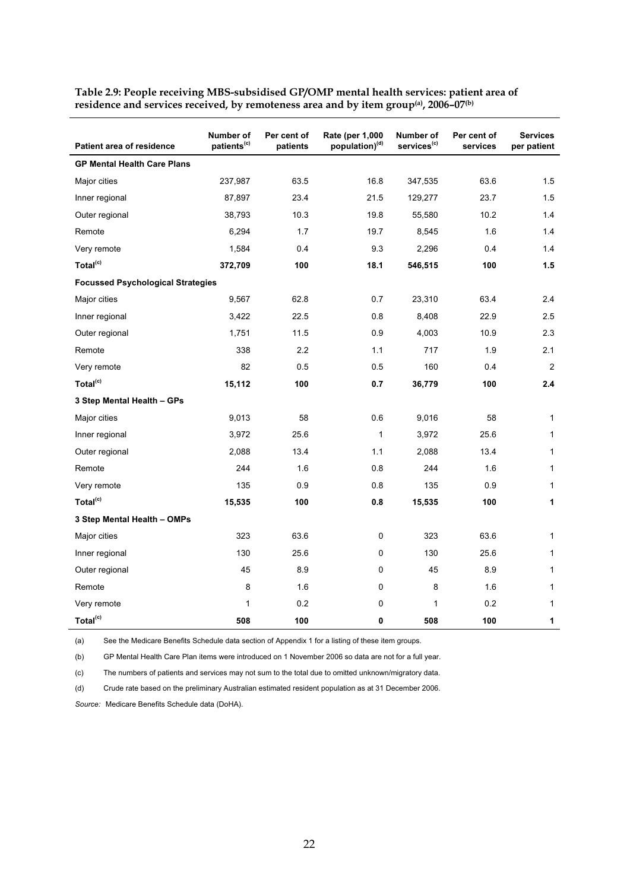|                                          | Number of               | Per cent of | Rate (per 1,000            | Number of               | Per cent of | <b>Services</b> |
|------------------------------------------|-------------------------|-------------|----------------------------|-------------------------|-------------|-----------------|
| <b>Patient area of residence</b>         | patients <sup>(c)</sup> | patients    | population) <sup>(d)</sup> | services <sup>(c)</sup> | services    | per patient     |
| <b>GP Mental Health Care Plans</b>       |                         |             |                            |                         |             |                 |
| Major cities                             | 237,987                 | 63.5        | 16.8                       | 347,535                 | 63.6        | 1.5             |
| Inner regional                           | 87,897                  | 23.4        | 21.5                       | 129,277                 | 23.7        | 1.5             |
| Outer regional                           | 38,793                  | 10.3        | 19.8                       | 55,580                  | 10.2        | 1.4             |
| Remote                                   | 6,294                   | 1.7         | 19.7                       | 8,545                   | 1.6         | 1.4             |
| Very remote                              | 1,584                   | 0.4         | 9.3                        | 2,296                   | 0.4         | 1.4             |
| Total <sup>(c)</sup>                     | 372,709                 | 100         | 18.1                       | 546,515                 | 100         | 1.5             |
| <b>Focussed Psychological Strategies</b> |                         |             |                            |                         |             |                 |
| Major cities                             | 9,567                   | 62.8        | 0.7                        | 23,310                  | 63.4        | 2.4             |
| Inner regional                           | 3,422                   | 22.5        | 0.8                        | 8,408                   | 22.9        | 2.5             |
| Outer regional                           | 1,751                   | 11.5        | 0.9                        | 4,003                   | 10.9        | 2.3             |
| Remote                                   | 338                     | 2.2         | 1.1                        | 717                     | 1.9         | 2.1             |
| Very remote                              | 82                      | 0.5         | 0.5                        | 160                     | 0.4         | 2               |
| Total <sup>(c)</sup>                     | 15,112                  | 100         | 0.7                        | 36,779                  | 100         | 2.4             |
| 3 Step Mental Health - GPs               |                         |             |                            |                         |             |                 |
| Major cities                             | 9,013                   | 58          | 0.6                        | 9,016                   | 58          | 1               |
| Inner regional                           | 3,972                   | 25.6        | $\mathbf{1}$               | 3,972                   | 25.6        | $\mathbf{1}$    |
| Outer regional                           | 2,088                   | 13.4        | 1.1                        | 2,088                   | 13.4        | $\mathbf{1}$    |
| Remote                                   | 244                     | 1.6         | 0.8                        | 244                     | 1.6         | $\mathbf{1}$    |
| Very remote                              | 135                     | 0.9         | 0.8                        | 135                     | 0.9         | $\mathbf{1}$    |
| Total <sup>(c)</sup>                     | 15,535                  | 100         | 0.8                        | 15,535                  | 100         | 1               |
| 3 Step Mental Health - OMPs              |                         |             |                            |                         |             |                 |
| Major cities                             | 323                     | 63.6        | 0                          | 323                     | 63.6        | $\mathbf{1}$    |
| Inner regional                           | 130                     | 25.6        | 0                          | 130                     | 25.6        | 1               |
| Outer regional                           | 45                      | 8.9         | 0                          | 45                      | 8.9         | $\mathbf{1}$    |
| Remote                                   | 8                       | 1.6         | 0                          | 8                       | 1.6         | $\mathbf{1}$    |
| Very remote                              | $\mathbf{1}$            | 0.2         | 0                          | $\mathbf{1}$            | 0.2         | $\mathbf{1}$    |
| Total <sup>(c)</sup>                     | 508                     | 100         | $\mathbf{0}$               | 508                     | 100         | 1               |

**Table 2.9: People receiving MBS-subsidised GP/OMP mental health services: patient area of residence and services received, by remoteness area and by item group(a), 2006–07(b)**

(a) See the Medicare Benefits Schedule data section of Appendix 1 for a listing of these item groups.

(b) GP Mental Health Care Plan items were introduced on 1 November 2006 so data are not for a full year.

(c) The numbers of patients and services may not sum to the total due to omitted unknown/migratory data.

(d) Crude rate based on the preliminary Australian estimated resident population as at 31 December 2006.

*Source:* Medicare Benefits Schedule data (DoHA).